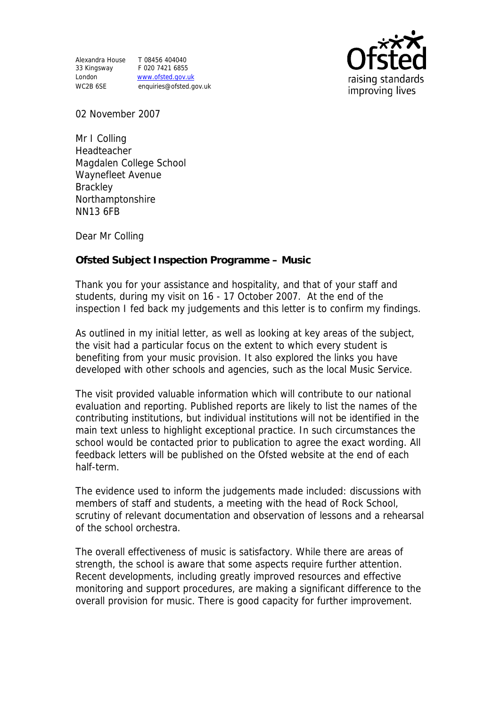Alexandra House T 08456 404040 33 Kingsway F 020 7421 6855

London www.ofsted.gov.uk WC2B 6SE enquiries@ofsted.gov.uk



02 November 2007

Mr I Colling Headteacher Magdalen College School Waynefleet Avenue **Brackley** Northamptonshire NN13 6FB

Dear Mr Colling

**Ofsted Subject Inspection Programme – Music** 

Thank you for your assistance and hospitality, and that of your staff and students, during my visit on 16 - 17 October 2007. At the end of the inspection I fed back my judgements and this letter is to confirm my findings.

As outlined in my initial letter, as well as looking at key areas of the subject, the visit had a particular focus on the extent to which every student is benefiting from your music provision. It also explored the links you have developed with other schools and agencies, such as the local Music Service.

The visit provided valuable information which will contribute to our national evaluation and reporting. Published reports are likely to list the names of the contributing institutions, but individual institutions will not be identified in the main text unless to highlight exceptional practice. In such circumstances the school would be contacted prior to publication to agree the exact wording. All feedback letters will be published on the Ofsted website at the end of each half-term.

The evidence used to inform the judgements made included: discussions with members of staff and students, a meeting with the head of Rock School, scrutiny of relevant documentation and observation of lessons and a rehearsal of the school orchestra.

The overall effectiveness of music is satisfactory. While there are areas of strength, the school is aware that some aspects require further attention. Recent developments, including greatly improved resources and effective monitoring and support procedures, are making a significant difference to the overall provision for music. There is good capacity for further improvement.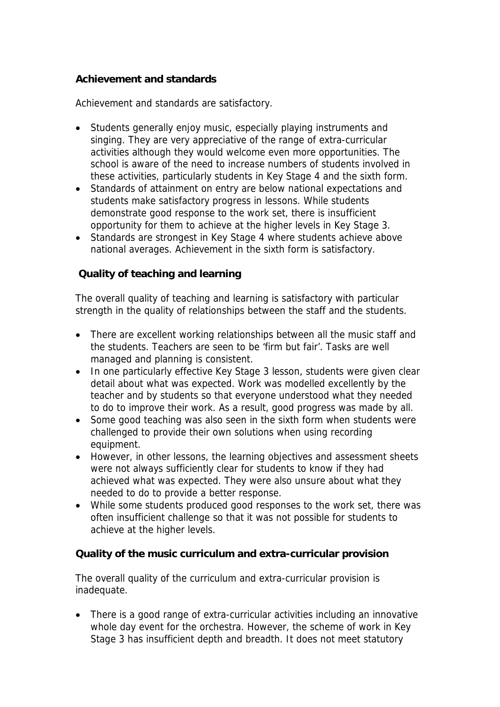## **Achievement and standards**

Achievement and standards are satisfactory.

- Students generally enjoy music, especially playing instruments and singing. They are very appreciative of the range of extra-curricular activities although they would welcome even more opportunities. The school is aware of the need to increase numbers of students involved in these activities, particularly students in Key Stage 4 and the sixth form.
- Standards of attainment on entry are below national expectations and students make satisfactory progress in lessons. While students demonstrate good response to the work set, there is insufficient opportunity for them to achieve at the higher levels in Key Stage 3.
- Standards are strongest in Key Stage 4 where students achieve above national averages. Achievement in the sixth form is satisfactory.

# **Quality of teaching and learning**

The overall quality of teaching and learning is satisfactory with particular strength in the quality of relationships between the staff and the students.

- There are excellent working relationships between all the music staff and the students. Teachers are seen to be 'firm but fair'. Tasks are well managed and planning is consistent.
- In one particularly effective Key Stage 3 lesson, students were given clear detail about what was expected. Work was modelled excellently by the teacher and by students so that everyone understood what they needed to do to improve their work. As a result, good progress was made by all.
- Some good teaching was also seen in the sixth form when students were challenged to provide their own solutions when using recording equipment.
- However, in other lessons, the learning objectives and assessment sheets were not always sufficiently clear for students to know if they had achieved what was expected. They were also unsure about what they needed to do to provide a better response.
- While some students produced good responses to the work set, there was often insufficient challenge so that it was not possible for students to achieve at the higher levels.

**Quality of the music curriculum and extra-curricular provision**

The overall quality of the curriculum and extra-curricular provision is inadequate.

 There is a good range of extra-curricular activities including an innovative whole day event for the orchestra. However, the scheme of work in Key Stage 3 has insufficient depth and breadth. It does not meet statutory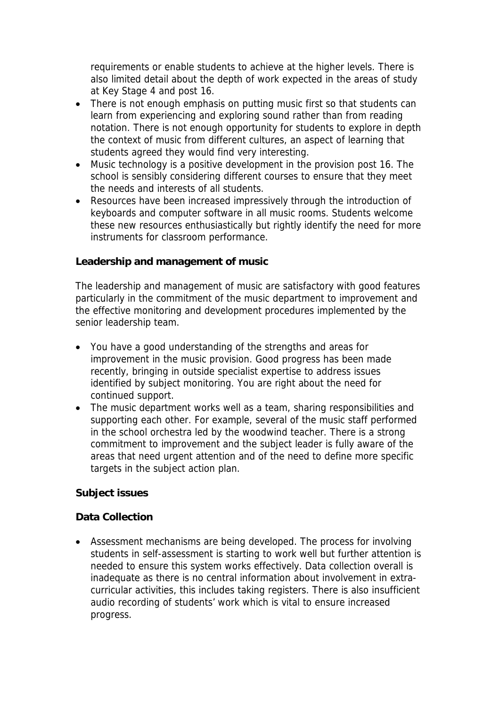requirements or enable students to achieve at the higher levels. There is also limited detail about the depth of work expected in the areas of study at Key Stage 4 and post 16.

- There is not enough emphasis on putting music first so that students can learn from experiencing and exploring sound rather than from reading notation. There is not enough opportunity for students to explore in depth the context of music from different cultures, an aspect of learning that students agreed they would find very interesting.
- Music technology is a positive development in the provision post 16. The school is sensibly considering different courses to ensure that they meet the needs and interests of all students.
- Resources have been increased impressively through the introduction of keyboards and computer software in all music rooms. Students welcome these new resources enthusiastically but rightly identify the need for more instruments for classroom performance.

**Leadership and management of music**

The leadership and management of music are satisfactory with good features particularly in the commitment of the music department to improvement and the effective monitoring and development procedures implemented by the senior leadership team.

- You have a good understanding of the strengths and areas for improvement in the music provision. Good progress has been made recently, bringing in outside specialist expertise to address issues identified by subject monitoring. You are right about the need for continued support.
- The music department works well as a team, sharing responsibilities and supporting each other. For example, several of the music staff performed in the school orchestra led by the woodwind teacher. There is a strong commitment to improvement and the subject leader is fully aware of the areas that need urgent attention and of the need to define more specific targets in the subject action plan.

**Subject issues**

#### **Data Collection**

 Assessment mechanisms are being developed. The process for involving students in self-assessment is starting to work well but further attention is needed to ensure this system works effectively. Data collection overall is inadequate as there is no central information about involvement in extracurricular activities, this includes taking registers. There is also insufficient audio recording of students' work which is vital to ensure increased progress.